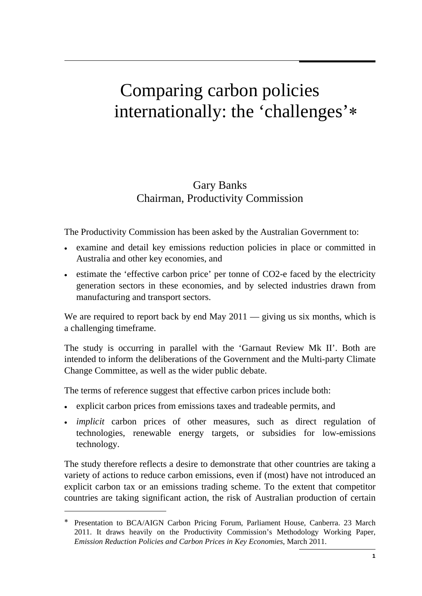# Comparing carbon policies internationally: the 'challenges'∗

## Gary Banks Chairman, Productivity Commission

The Productivity Commission has been asked by the Australian Government to:

- examine and detail key emissions reduction policies in place or committed in Australia and other key economies, and
- estimate the 'effective carbon price' per tonne of CO2-e faced by the electricity generation sectors in these economies, and by selected industries drawn from manufacturing and transport sectors.

We are required to report back by end May 2011 — giving us six months, which is a challenging timeframe.

The study is occurring in parallel with the 'Garnaut Review Mk II'. Both are intended to inform the deliberations of the Government and the Multi-party Climate Change Committee, as well as the wider public debate.

The terms of reference suggest that effective carbon prices include both:

- • explicit carbon prices from emissions taxes and tradeable permits, and
- *implicit* carbon prices of other measures, such as direct regulation of technologies, renewable energy targets, or subsidies for low-emissions technology.

The study therefore reflects a desire to demonstrate that other countries are taking a variety of actions to reduce carbon emissions, even if (most) have not introduced an explicit carbon tax or an emissions trading scheme. To the extent that competitor countries are taking significant action, the risk of Australian production of certain

<sup>∗</sup> Presentation to BCA/AIGN Carbon Pricing Forum, Parliament House, Canberra. 23 March 2011. It draws heavily on the Productivity Commission's Methodology Working Paper, *Emission Reduction Policies and Carbon Prices in Key Economies*, March 2011.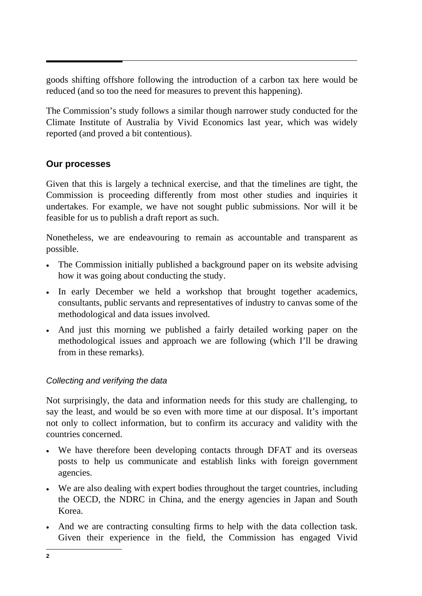goods shifting offshore following the introduction of a carbon tax here would be reduced (and so too the need for measures to prevent this happening).

The Commission's study follows a similar though narrower study conducted for the Climate Institute of Australia by Vivid Economics last year, which was widely reported (and proved a bit contentious).

#### **Our processes**

Given that this is largely a technical exercise, and that the timelines are tight, the Commission is proceeding differently from most other studies and inquiries it undertakes. For example, we have not sought public submissions. Nor will it be feasible for us to publish a draft report as such.

Nonetheless, we are endeavouring to remain as accountable and transparent as possible.

- The Commission initially published a background paper on its website advising how it was going about conducting the study.
- In early December we held a workshop that brought together academics, consultants, public servants and representatives of industry to canvas some of the methodological and data issues involved.
- And just this morning we published a fairly detailed working paper on the methodological issues and approach we are following (which I'll be drawing from in these remarks).

#### *Collecting and verifying the data*

Not surprisingly, the data and information needs for this study are challenging, to say the least, and would be so even with more time at our disposal. It's important not only to collect information, but to confirm its accuracy and validity with the countries concerned.

- We have therefore been developing contacts through DFAT and its overseas posts to help us communicate and establish links with foreign government agencies.
- We are also dealing with expert bodies throughout the target countries, including the OECD, the NDRC in China, and the energy agencies in Japan and South Korea.
- And we are contracting consulting firms to help with the data collection task. Given their experience in the field, the Commission has engaged Vivid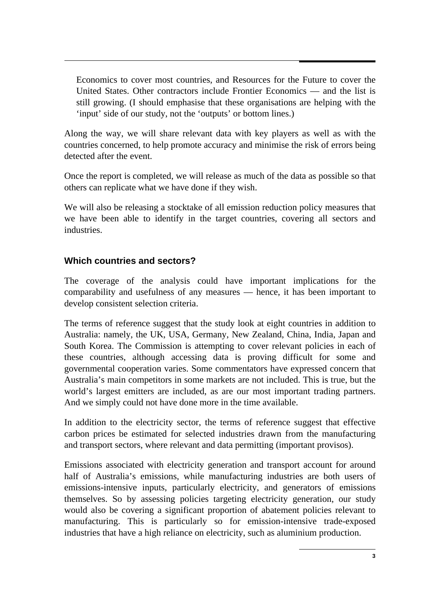Economics to cover most countries, and Resources for the Future to cover the United States. Other contractors include Frontier Economics — and the list is still growing. (I should emphasise that these organisations are helping with the 'input' side of our study, not the 'outputs' or bottom lines.)

Along the way, we will share relevant data with key players as well as with the countries concerned, to help promote accuracy and minimise the risk of errors being detected after the event.

Once the report is completed, we will release as much of the data as possible so that others can replicate what we have done if they wish.

We will also be releasing a stocktake of all emission reduction policy measures that we have been able to identify in the target countries, covering all sectors and industries.

#### **Which countries and sectors?**

The coverage of the analysis could have important implications for the comparability and usefulness of any measures — hence, it has been important to develop consistent selection criteria.

The terms of reference suggest that the study look at eight countries in addition to Australia: namely, the UK, USA, Germany, New Zealand, China, India, Japan and South Korea. The Commission is attempting to cover relevant policies in each of these countries, although accessing data is proving difficult for some and governmental cooperation varies. Some commentators have expressed concern that Australia's main competitors in some markets are not included. This is true, but the world's largest emitters are included, as are our most important trading partners. And we simply could not have done more in the time available.

In addition to the electricity sector, the terms of reference suggest that effective carbon prices be estimated for selected industries drawn from the manufacturing and transport sectors, where relevant and data permitting (important provisos).

Emissions associated with electricity generation and transport account for around half of Australia's emissions, while manufacturing industries are both users of emissions-intensive inputs, particularly electricity, and generators of emissions themselves. So by assessing policies targeting electricity generation, our study would also be covering a significant proportion of abatement policies relevant to manufacturing. This is particularly so for emission-intensive trade-exposed industries that have a high reliance on electricity, such as aluminium production.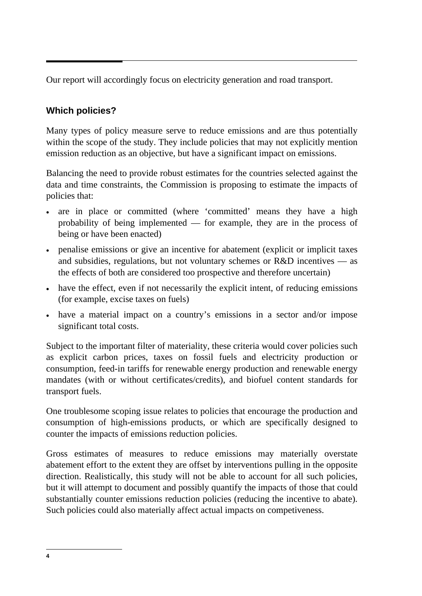Our report will accordingly focus on electricity generation and road transport.

### **Which policies?**

Many types of policy measure serve to reduce emissions and are thus potentially within the scope of the study. They include policies that may not explicitly mention emission reduction as an objective, but have a significant impact on emissions.

Balancing the need to provide robust estimates for the countries selected against the data and time constraints, the Commission is proposing to estimate the impacts of policies that:

- are in place or committed (where 'committed' means they have a high probability of being implemented — for example, they are in the process of being or have been enacted)
- penalise emissions or give an incentive for abatement (explicit or implicit taxes and subsidies, regulations, but not voluntary schemes or R&D incentives — as the effects of both are considered too prospective and therefore uncertain)
- have the effect, even if not necessarily the explicit intent, of reducing emissions (for example, excise taxes on fuels)
- • have a material impact on a country's emissions in a sector and/or impose significant total costs.

Subject to the important filter of materiality, these criteria would cover policies such as explicit carbon prices, taxes on fossil fuels and electricity production or consumption, feed-in tariffs for renewable energy production and renewable energy mandates (with or without certificates/credits), and biofuel content standards for transport fuels.

One troublesome scoping issue relates to policies that encourage the production and consumption of high-emissions products, or which are specifically designed to counter the impacts of emissions reduction policies.

Gross estimates of measures to reduce emissions may materially overstate abatement effort to the extent they are offset by interventions pulling in the opposite direction. Realistically, this study will not be able to account for all such policies, but it will attempt to document and possibly quantify the impacts of those that could substantially counter emissions reduction policies (reducing the incentive to abate). Such policies could also materially affect actual impacts on competiveness.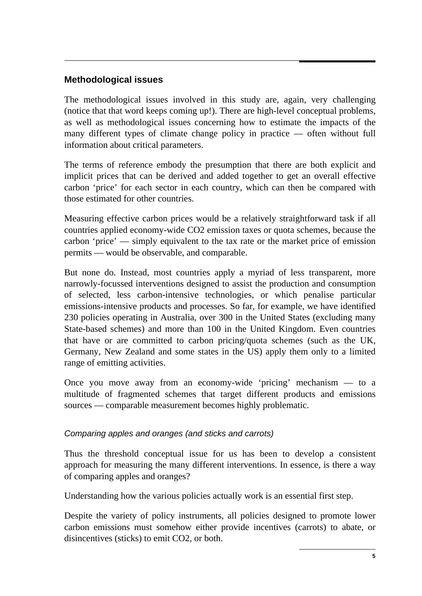#### **Methodological issues**

The methodological issues involved in this study are, again, very challenging (notice that that word keeps coming up!). There are high-level conceptual problems, as well as methodological issues concerning how to estimate the impacts of the many different types of climate change policy in practice — often without full information about critical parameters.

The terms of reference embody the presumption that there are both explicit and implicit prices that can be derived and added together to get an overall effective carbon 'price' for each sector in each country, which can then be compared with those estimated for other countries.

Measuring effective carbon prices would be a relatively straightforward task if all countries applied economy-wide CO2 emission taxes or quota schemes, because the carbon 'price' — simply equivalent to the tax rate or the market price of emission permits — would be observable, and comparable.

But none do. Instead, most countries apply a myriad of less transparent, more narrowly-focussed interventions designed to assist the production and consumption of selected, less carbon-intensive technologies, or which penalise particular emissions-intensive products and processes. So far, for example, we have identified 230 policies operating in Australia, over 300 in the United States (excluding many State-based schemes) and more than 100 in the United Kingdom. Even countries that have or are committed to carbon pricing/quota schemes (such as the UK, Germany, New Zealand and some states in the US) apply them only to a limited range of emitting activities.

Once you move away from an economy-wide 'pricing' mechanism — to a multitude of fragmented schemes that target different products and emissions sources — comparable measurement becomes highly problematic.

#### *Comparing apples and oranges (and sticks and carrots)*

Thus the threshold conceptual issue for us has been to develop a consistent approach for measuring the many different interventions. In essence, is there a way of comparing apples and oranges?

Understanding how the various policies actually work is an essential first step.

Despite the variety of policy instruments, all policies designed to promote lower carbon emissions must somehow either provide incentives (carrots) to abate, or disincentives (sticks) to emit CO2, or both.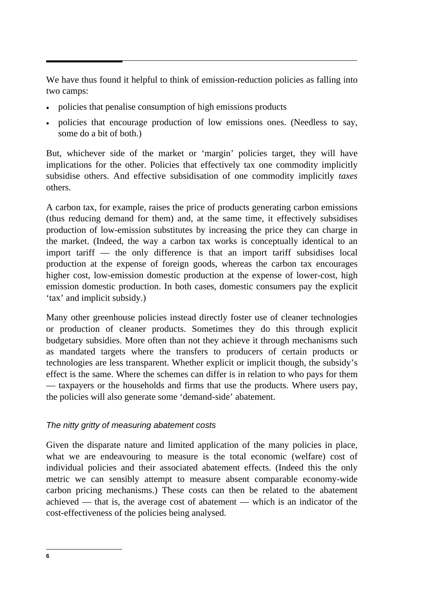We have thus found it helpful to think of emission-reduction policies as falling into two camps:

- policies that penalise consumption of high emissions products
- policies that encourage production of low emissions ones. (Needless to say, some do a bit of both.)

But, whichever side of the market or 'margin' policies target, they will have implications for the other. Policies that effectively tax one commodity implicitly subsidise others. And effective subsidisation of one commodity implicitly *taxes*  others.

A carbon tax, for example, raises the price of products generating carbon emissions (thus reducing demand for them) and, at the same time, it effectively subsidises production of low-emission substitutes by increasing the price they can charge in the market. (Indeed, the way a carbon tax works is conceptually identical to an import tariff — the only difference is that an import tariff subsidises local production at the expense of foreign goods, whereas the carbon tax encourages higher cost, low-emission domestic production at the expense of lower-cost, high emission domestic production. In both cases, domestic consumers pay the explicit 'tax' and implicit subsidy.)

Many other greenhouse policies instead directly foster use of cleaner technologies or production of cleaner products. Sometimes they do this through explicit budgetary subsidies. More often than not they achieve it through mechanisms such as mandated targets where the transfers to producers of certain products or technologies are less transparent. Whether explicit or implicit though, the subsidy's effect is the same. Where the schemes can differ is in relation to who pays for them — taxpayers or the households and firms that use the products. Where users pay, the policies will also generate some 'demand-side' abatement.

#### *The nitty gritty of measuring abatement costs*

Given the disparate nature and limited application of the many policies in place, what we are endeavouring to measure is the total economic (welfare) cost of individual policies and their associated abatement effects. (Indeed this the only metric we can sensibly attempt to measure absent comparable economy-wide carbon pricing mechanisms.) These costs can then be related to the abatement achieved — that is, the average cost of abatement — which is an indicator of the cost-effectiveness of the policies being analysed.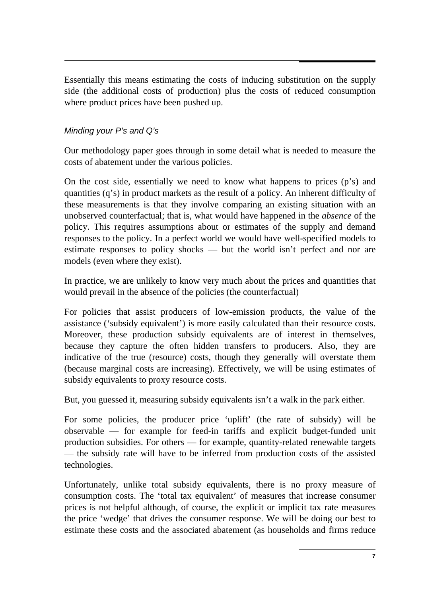Essentially this means estimating the costs of inducing substitution on the supply side (the additional costs of production) plus the costs of reduced consumption where product prices have been pushed up.

#### *Minding your P's and Q's*

Our methodology paper goes through in some detail what is needed to measure the costs of abatement under the various policies.

On the cost side, essentially we need to know what happens to prices (p's) and quantities (q's) in product markets as the result of a policy. An inherent difficulty of these measurements is that they involve comparing an existing situation with an unobserved counterfactual; that is, what would have happened in the *absence* of the policy. This requires assumptions about or estimates of the supply and demand responses to the policy. In a perfect world we would have well-specified models to estimate responses to policy shocks — but the world isn't perfect and nor are models (even where they exist).

In practice, we are unlikely to know very much about the prices and quantities that would prevail in the absence of the policies (the counterfactual)

For policies that assist producers of low-emission products, the value of the assistance ('subsidy equivalent') is more easily calculated than their resource costs. Moreover, these production subsidy equivalents are of interest in themselves, because they capture the often hidden transfers to producers. Also, they are indicative of the true (resource) costs, though they generally will overstate them (because marginal costs are increasing). Effectively, we will be using estimates of subsidy equivalents to proxy resource costs.

But, you guessed it, measuring subsidy equivalents isn't a walk in the park either.

For some policies, the producer price 'uplift' (the rate of subsidy) will be observable — for example for feed-in tariffs and explicit budget-funded unit production subsidies. For others — for example, quantity-related renewable targets — the subsidy rate will have to be inferred from production costs of the assisted technologies.

Unfortunately, unlike total subsidy equivalents, there is no proxy measure of consumption costs. The 'total tax equivalent' of measures that increase consumer prices is not helpful although, of course, the explicit or implicit tax rate measures the price 'wedge' that drives the consumer response. We will be doing our best to estimate these costs and the associated abatement (as households and firms reduce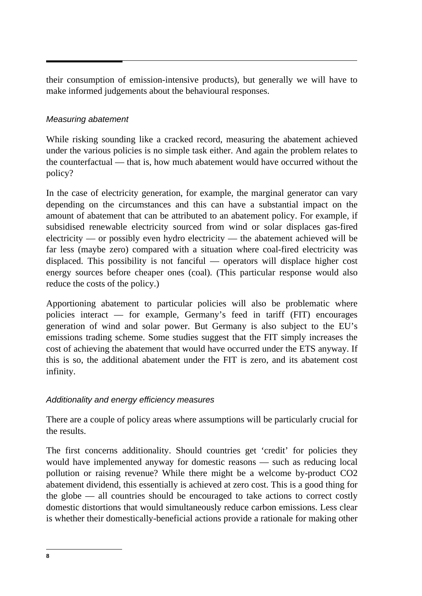their consumption of emission-intensive products), but generally we will have to make informed judgements about the behavioural responses.

#### *Measuring abatement*

While risking sounding like a cracked record, measuring the abatement achieved under the various policies is no simple task either. And again the problem relates to the counterfactual — that is, how much abatement would have occurred without the policy?

In the case of electricity generation, for example, the marginal generator can vary depending on the circumstances and this can have a substantial impact on the amount of abatement that can be attributed to an abatement policy. For example, if subsidised renewable electricity sourced from wind or solar displaces gas-fired electricity — or possibly even hydro electricity — the abatement achieved will be far less (maybe zero) compared with a situation where coal-fired electricity was displaced. This possibility is not fanciful — operators will displace higher cost energy sources before cheaper ones (coal). (This particular response would also reduce the costs of the policy.)

Apportioning abatement to particular policies will also be problematic where policies interact — for example, Germany's feed in tariff (FIT) encourages generation of wind and solar power. But Germany is also subject to the EU's emissions trading scheme. Some studies suggest that the FIT simply increases the cost of achieving the abatement that would have occurred under the ETS anyway. If this is so, the additional abatement under the FIT is zero, and its abatement cost infinity.

#### *Additionality and energy efficiency measures*

There are a couple of policy areas where assumptions will be particularly crucial for the results.

The first concerns additionality. Should countries get 'credit' for policies they would have implemented anyway for domestic reasons — such as reducing local pollution or raising revenue? While there might be a welcome by-product CO2 abatement dividend, this essentially is achieved at zero cost. This is a good thing for the globe — all countries should be encouraged to take actions to correct costly domestic distortions that would simultaneously reduce carbon emissions. Less clear is whether their domestically-beneficial actions provide a rationale for making other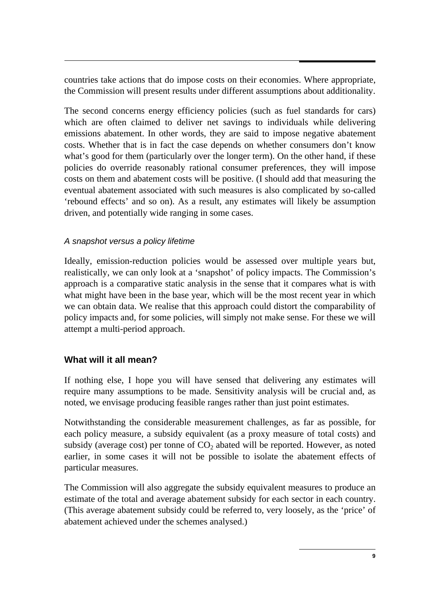countries take actions that do impose costs on their economies. Where appropriate, the Commission will present results under different assumptions about additionality.

The second concerns energy efficiency policies (such as fuel standards for cars) which are often claimed to deliver net savings to individuals while delivering emissions abatement. In other words, they are said to impose negative abatement costs. Whether that is in fact the case depends on whether consumers don't know what's good for them (particularly over the longer term). On the other hand, if these policies do override reasonably rational consumer preferences, they will impose costs on them and abatement costs will be positive. (I should add that measuring the eventual abatement associated with such measures is also complicated by so-called 'rebound effects' and so on). As a result, any estimates will likely be assumption driven, and potentially wide ranging in some cases.

#### *A snapshot versus a policy lifetime*

Ideally, emission-reduction policies would be assessed over multiple years but, realistically, we can only look at a 'snapshot' of policy impacts. The Commission's approach is a comparative static analysis in the sense that it compares what is with what might have been in the base year, which will be the most recent year in which we can obtain data. We realise that this approach could distort the comparability of policy impacts and, for some policies, will simply not make sense. For these we will attempt a multi-period approach.

#### **What will it all mean?**

If nothing else, I hope you will have sensed that delivering any estimates will require many assumptions to be made. Sensitivity analysis will be crucial and, as noted, we envisage producing feasible ranges rather than just point estimates.

Notwithstanding the considerable measurement challenges, as far as possible, for each policy measure, a subsidy equivalent (as a proxy measure of total costs) and subsidy (average cost) per tonne of  $CO<sub>2</sub>$  abated will be reported. However, as noted earlier, in some cases it will not be possible to isolate the abatement effects of particular measures.

The Commission will also aggregate the subsidy equivalent measures to produce an estimate of the total and average abatement subsidy for each sector in each country. (This average abatement subsidy could be referred to, very loosely, as the 'price' of abatement achieved under the schemes analysed.)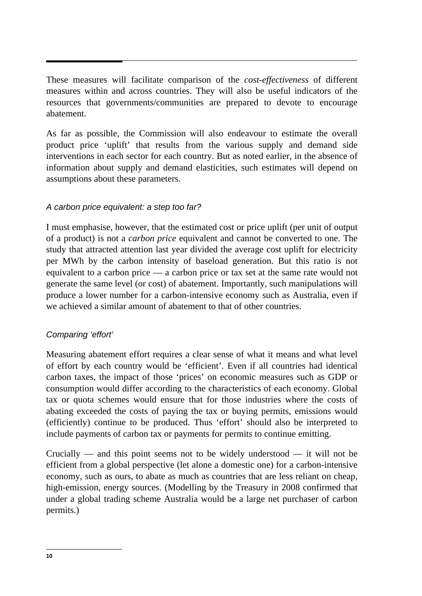These measures will facilitate comparison of the *cost-effectiveness* of different measures within and across countries. They will also be useful indicators of the resources that governments/communities are prepared to devote to encourage abatement.

As far as possible, the Commission will also endeavour to estimate the overall product price 'uplift' that results from the various supply and demand side interventions in each sector for each country. But as noted earlier, in the absence of information about supply and demand elasticities, such estimates will depend on assumptions about these parameters.

#### *A carbon price equivalent: a step too far?*

I must emphasise, however, that the estimated cost or price uplift (per unit of output of a product) is not a *carbon price* equivalent and cannot be converted to one. The study that attracted attention last year divided the average cost uplift for electricity per MWh by the carbon intensity of baseload generation. But this ratio is not equivalent to a carbon price — a carbon price or tax set at the same rate would not generate the same level (or cost) of abatement. Importantly, such manipulations will produce a lower number for a carbon-intensive economy such as Australia, even if we achieved a similar amount of abatement to that of other countries.

#### *Comparing 'effort'*

Measuring abatement effort requires a clear sense of what it means and what level of effort by each country would be 'efficient'. Even if all countries had identical carbon taxes, the impact of those 'prices' on economic measures such as GDP or consumption would differ according to the characteristics of each economy. Global tax or quota schemes would ensure that for those industries where the costs of abating exceeded the costs of paying the tax or buying permits, emissions would (efficiently) continue to be produced. Thus 'effort' should also be interpreted to include payments of carbon tax or payments for permits to continue emitting.

Crucially — and this point seems not to be widely understood — it will not be efficient from a global perspective (let alone a domestic one) for a carbon-intensive economy, such as ours, to abate as much as countries that are less reliant on cheap, high-emission, energy sources. (Modelling by the Treasury in 2008 confirmed that under a global trading scheme Australia would be a large net purchaser of carbon permits.)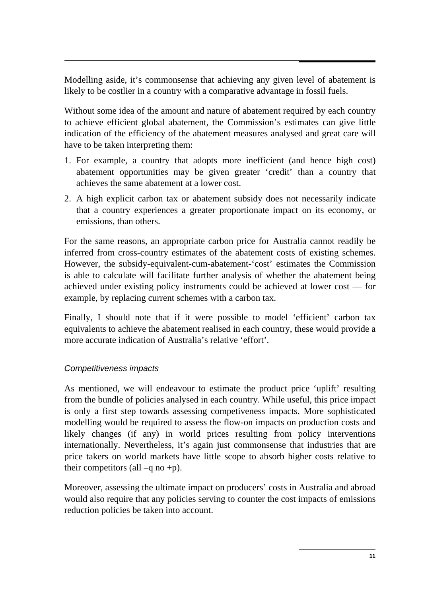Modelling aside, it's commonsense that achieving any given level of abatement is likely to be costlier in a country with a comparative advantage in fossil fuels.

Without some idea of the amount and nature of abatement required by each country to achieve efficient global abatement, the Commission's estimates can give little indication of the efficiency of the abatement measures analysed and great care will have to be taken interpreting them:

- 1. For example, a country that adopts more inefficient (and hence high cost) abatement opportunities may be given greater 'credit' than a country that achieves the same abatement at a lower cost.
- 2. A high explicit carbon tax or abatement subsidy does not necessarily indicate that a country experiences a greater proportionate impact on its economy, or emissions, than others.

For the same reasons, an appropriate carbon price for Australia cannot readily be inferred from cross-country estimates of the abatement costs of existing schemes. However, the subsidy-equivalent-cum-abatement-'cost' estimates the Commission is able to calculate will facilitate further analysis of whether the abatement being achieved under existing policy instruments could be achieved at lower cost — for example, by replacing current schemes with a carbon tax.

Finally, I should note that if it were possible to model 'efficient' carbon tax equivalents to achieve the abatement realised in each country, these would provide a more accurate indication of Australia's relative 'effort'.

#### *Competitiveness impacts*

As mentioned, we will endeavour to estimate the product price 'uplift' resulting from the bundle of policies analysed in each country. While useful, this price impact is only a first step towards assessing competiveness impacts. More sophisticated modelling would be required to assess the flow-on impacts on production costs and likely changes (if any) in world prices resulting from policy interventions internationally. Nevertheless, it's again just commonsense that industries that are price takers on world markets have little scope to absorb higher costs relative to their competitors (all  $-q$  no +p).

Moreover, assessing the ultimate impact on producers' costs in Australia and abroad would also require that any policies serving to counter the cost impacts of emissions reduction policies be taken into account.